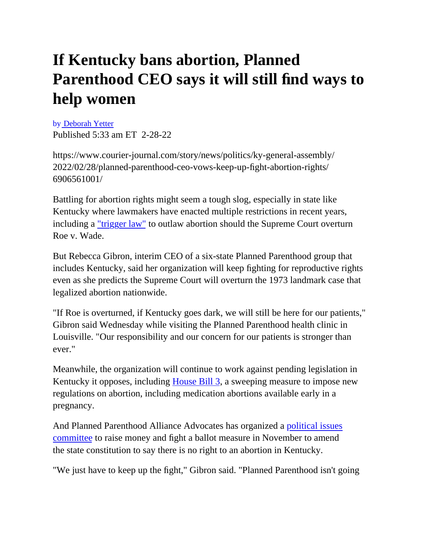# **If Kentucky bans abortion, Planned Parenthood CEO says it will still find ways to help women**

by [Deborah Yetter](https://www.courier-journal.com/staff/2647871001/deborah-yetter/) Published 5:33 am ET 2-28-22

https://www.courier-journal.com/story/news/politics/ky-general-assembly/ 2022/02/28/planned-parenthood-ceo-vows-keep-up-fight-abortion-rights/ 6906561001/

Battling for abortion rights might seem a tough slog, especially in state like Kentucky where lawmakers have enacted multiple restrictions in recent years, including a <u>"trigger law"</u> to outlaw abortion should the Supreme Court overturn Roe v. Wade.

But Rebecca Gibron, interim CEO of a six-state Planned Parenthood group that includes Kentucky, said her organization will keep fighting for reproductive rights even as she predicts the Supreme Court will overturn the 1973 landmark case that legalized abortion nationwide.

"If Roe is overturned, if Kentucky goes dark, we will still be here for our patients," Gibron said Wednesday while visiting the Planned Parenthood health clinic in Louisville. "Our responsibility and our concern for our patients is stronger than ever."

Meanwhile, the organization will continue to work against pending legislation in Kentucky it opposes, including [House Bill 3](https://www.courier-journal.com/story/news/politics/ky-general-assembly/2022/02/10/kentucky-republican-files-sweeping-bill-to-further-restrict-abortion/6736515001/), a sweeping measure to impose new regulations on abortion, including medication abortions available early in a pregnancy.

And Planned Parenthood Alliance Advocates has organized a [political issues](https://www.courier-journal.com/story/news/politics/elections/kentucky/2021/12/06/these-new-kentucky-pacs-seek-make-impact-2022-elections/8792923002/)  [committee](https://www.courier-journal.com/story/news/politics/elections/kentucky/2021/12/06/these-new-kentucky-pacs-seek-make-impact-2022-elections/8792923002/) to raise money and fight a ballot measure in November to amend the state constitution to say there is no right to an abortion in Kentucky.

"We just have to keep up the fight," Gibron said. "Planned Parenthood isn't going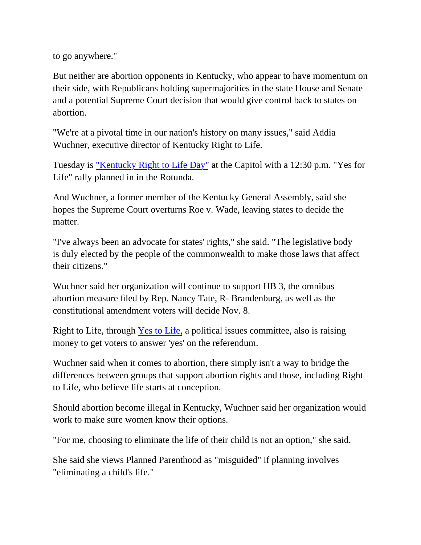to go anywhere."

But neither are abortion opponents in Kentucky, who appear to have momentum on their side, with Republicans holding supermajorities in the state House and Senate and a potential Supreme Court decision that would give control back to states on abortion.

"We're at a pivotal time in our nation's history on many issues," said Addia Wuchner, executive director of Kentucky Right to Life.

Tuesday is ["Kentucky Right to Life Day"](https://www.krla.org/) at the Capitol with a 12:30 p.m. "Yes for Life" rally planned in in the Rotunda.

And Wuchner, a former member of the Kentucky General Assembly, said she hopes the Supreme Court overturns Roe v. Wade, leaving states to decide the matter.

"I've always been an advocate for states' rights," she said. "The legislative body is duly elected by the people of the commonwealth to make those laws that affect their citizens."

Wuchner said her organization will continue to support HB 3, the omnibus abortion measure filed by Rep. Nancy Tate, R- Brandenburg, as well as the constitutional amendment voters will decide Nov. 8.

Right to Life, through [Yes to Life,](https://www.courier-journal.com/story/news/politics/elections/kentucky/2021/12/06/these-new-kentucky-pacs-seek-make-impact-2022-elections/8792923002/) a political issues committee, also is raising money to get voters to answer 'yes' on the referendum.

Wuchner said when it comes to abortion, there simply isn't a way to bridge the differences between groups that support abortion rights and those, including Right to Life, who believe life starts at conception.

Should abortion become illegal in Kentucky, Wuchner said her organization would work to make sure women know their options.

"For me, choosing to eliminate the life of their child is not an option," she said.

She said she views Planned Parenthood as "misguided" if planning involves "eliminating a child's life."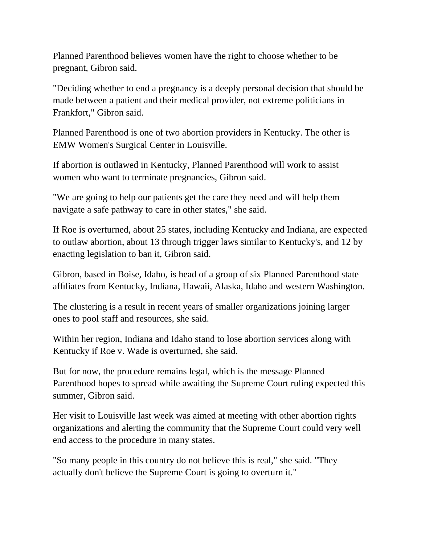Planned Parenthood believes women have the right to choose whether to be pregnant, Gibron said.

"Deciding whether to end a pregnancy is a deeply personal decision that should be made between a patient and their medical provider, not extreme politicians in Frankfort," Gibron said.

Planned Parenthood is one of two abortion providers in Kentucky. The other is EMW Women's Surgical Center in Louisville.

If abortion is outlawed in Kentucky, Planned Parenthood will work to assist women who want to terminate pregnancies, Gibron said.

"We are going to help our patients get the care they need and will help them navigate a safe pathway to care in other states," she said.

If Roe is overturned, about 25 states, including Kentucky and Indiana, are expected to outlaw abortion, about 13 through trigger laws similar to Kentucky's, and 12 by enacting legislation to ban it, Gibron said.

Gibron, based in Boise, Idaho, is head of a group of six Planned Parenthood state affiliates from Kentucky, Indiana, Hawaii, Alaska, Idaho and western Washington.

The clustering is a result in recent years of smaller organizations joining larger ones to pool staff and resources, she said.

Within her region, Indiana and Idaho stand to lose abortion services along with Kentucky if Roe v. Wade is overturned, she said.

But for now, the procedure remains legal, which is the message Planned Parenthood hopes to spread while awaiting the Supreme Court ruling expected this summer, Gibron said.

Her visit to Louisville last week was aimed at meeting with other abortion rights organizations and alerting the community that the Supreme Court could very well end access to the procedure in many states.

"So many people in this country do not believe this is real," she said. "They actually don't believe the Supreme Court is going to overturn it."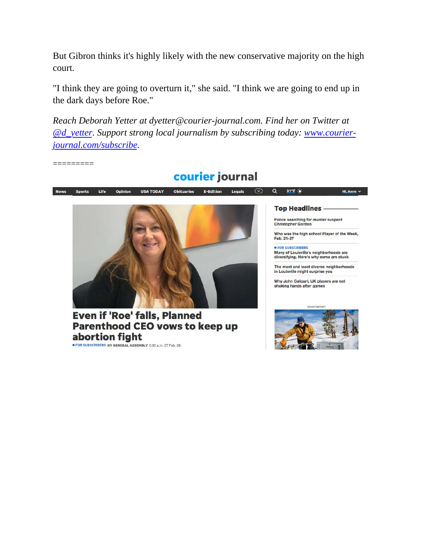But Gibron thinks it's highly likely with the new conservative majority on the high court.

"I think they are going to overturn it," she said. "I think we are going to end up in the dark days before Roe."

*Reach Deborah Yetter at dyetter@courier-journal.com. Find her on Twitter at [@d\\_yetter](https://www.twitter.com/d_yetter). Support strong local journalism by subscribing today: [www.courier](https://cm.courier-journal.com/specialoffer/?gps-source=CPNEWS&utm_medium=taglines&utm_source=news&utm_campaign=NEWSROOM&utm_content=deborahyetter)[journal.com/subscribe.](https://cm.courier-journal.com/specialoffer/?gps-source=CPNEWS&utm_medium=taglines&utm_source=news&utm_campaign=NEWSROOM&utm_content=deborahyetter)*

=========



### abortion fight

FOR SUBSCRIBERS KY GENERAL ASSEMBLY 5:33 a.m. ET Feb. 28

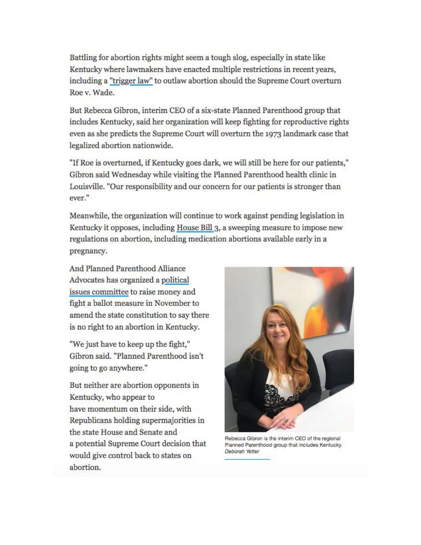Battling for abortion rights might seem a tough slog, especially in state like Kentucky where lawmakers have enacted multiple restrictions in recent years. including a "trigger law" to outlaw abortion should the Supreme Court overturn Roe v. Wade.

But Rebecca Gibron, interim CEO of a six-state Planned Parenthood group that includes Kentucky, said her organization will keep fighting for reproductive rights even as she predicts the Supreme Court will overturn the 1973 landmark case that legalized abortion nationwide.

"If Roe is overturned, if Kentucky goes dark, we will still be here for our patients," Gibron said Wednesday while visiting the Planned Parenthood health clinic in Louisville. "Our responsibility and our concern for our patients is stronger than ever."

Meanwhile, the organization will continue to work against pending legislation in Kentucky it opposes, including House Bill 3, a sweeping measure to impose new regulations on abortion, including medication abortions available early in a pregnancy.

And Planned Parenthood Alliance Advocates has organized a political issues committee to raise money and fight a ballot measure in November to amend the state constitution to say there is no right to an abortion in Kentucky.

"We just have to keep up the fight," Gibron said. "Planned Parenthood isn't going to go anywhere."

But neither are abortion opponents in Kentucky, who appear to have momentum on their side, with Republicans holding supermajorities in the state House and Senate and a potential Supreme Court decision that would give control back to states on abortion.



Rebecca Gibron is the interim CEO of the regional Planned Parenthood group that includes Kentucky. Deborah Yetter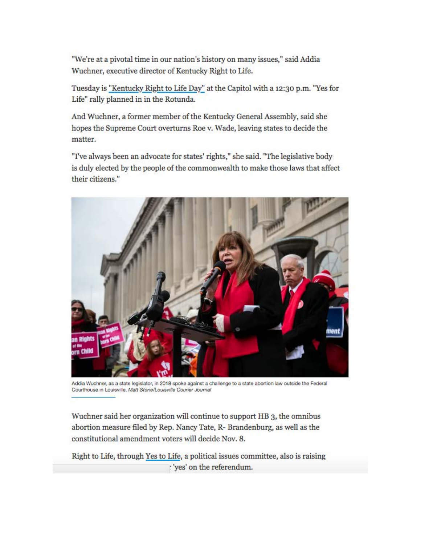"We're at a pivotal time in our nation's history on many issues," said Addia Wuchner, executive director of Kentucky Right to Life.

Tuesday is "Kentucky Right to Life Day" at the Capitol with a 12:30 p.m. "Yes for Life" rally planned in in the Rotunda.

And Wuchner, a former member of the Kentucky General Assembly, said she hopes the Supreme Court overturns Roe v. Wade, leaving states to decide the matter.

"I've always been an advocate for states' rights," she said. "The legislative body is duly elected by the people of the commonwealth to make those laws that affect their citizens."



Addia Wuchner, as a state legislator, in 2018 spoke against a challenge to a state abortion law outside the Federal Courthouse in Louisville. Matt Stone/Louisville Courier Journal

Wuchner said her organization will continue to support HB 3, the omnibus abortion measure filed by Rep. Nancy Tate, R- Brandenburg, as well as the constitutional amendment voters will decide Nov. 8.

Right to Life, through Yes to Life, a political issues committee, also is raising yes' on the referendum.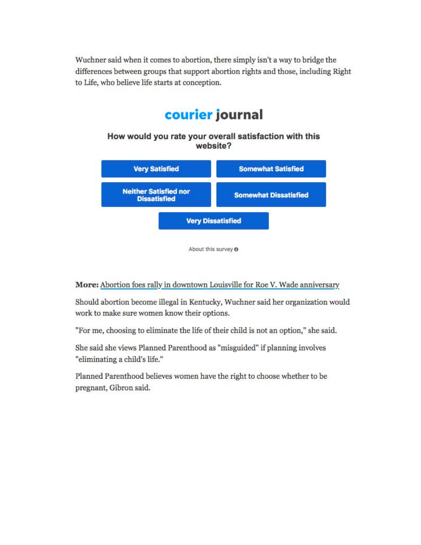Wuchner said when it comes to abortion, there simply isn't a way to bridge the differences between groups that support abortion rights and those, including Right to Life, who believe life starts at conception.

## courier journal

How would you rate your overall satisfaction with this website?



About this survey @

#### More: Abortion foes rally in downtown Louisville for Roe V. Wade anniversary

Should abortion become illegal in Kentucky, Wuchner said her organization would work to make sure women know their options.

"For me, choosing to eliminate the life of their child is not an option," she said.

She said she views Planned Parenthood as "misguided" if planning involves "eliminating a child's life."

Planned Parenthood believes women have the right to choose whether to be pregnant, Gibron said.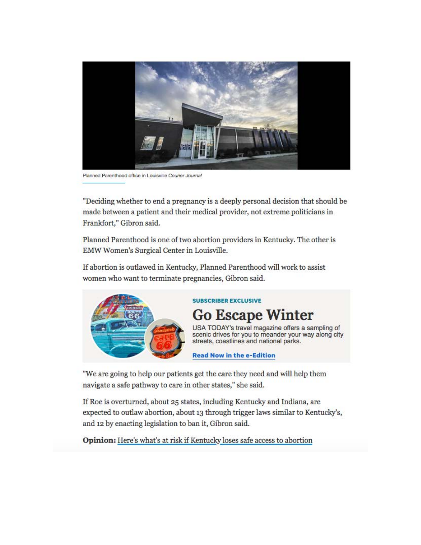

Planned Parenthood office in Louisville Courier Journal

"Deciding whether to end a pregnancy is a deeply personal decision that should be made between a patient and their medical provider, not extreme politicians in Frankfort," Gibron said.

Planned Parenthood is one of two abortion providers in Kentucky. The other is EMW Women's Surgical Center in Louisville.

If abortion is outlawed in Kentucky, Planned Parenthood will work to assist women who want to terminate pregnancies, Gibron said.



#### **SUBSCRIBER EXCLUSIVE**

**Go Escape Winter** USA TODAY's travel magazine offers a sampling of

scenic drives for you to meander your way along city<br>streets, coastlines and national parks.

#### **Read Now in the e-Edition**

"We are going to help our patients get the care they need and will help them navigate a safe pathway to care in other states," she said.

If Roe is overturned, about 25 states, including Kentucky and Indiana, are expected to outlaw abortion, about 13 through trigger laws similar to Kentucky's, and 12 by enacting legislation to ban it, Gibron said.

Opinion: Here's what's at risk if Kentucky loses safe access to abortion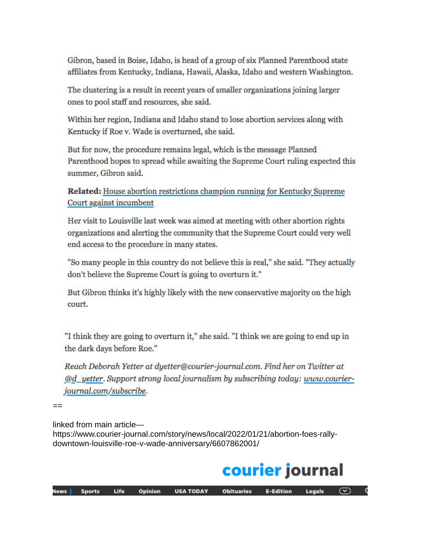Gibron, based in Boise, Idaho, is head of a group of six Planned Parenthood state affiliates from Kentucky, Indiana, Hawaii, Alaska, Idaho and western Washington.

The clustering is a result in recent years of smaller organizations joining larger ones to pool staff and resources, she said.

Within her region, Indiana and Idaho stand to lose abortion services along with Kentucky if Roe v. Wade is overturned, she said.

But for now, the procedure remains legal, which is the message Planned Parenthood hopes to spread while awaiting the Supreme Court ruling expected this summer, Gibron said.

Related: House abortion restrictions champion running for Kentucky Supreme Court against incumbent

Her visit to Louisville last week was aimed at meeting with other abortion rights organizations and alerting the community that the Supreme Court could very well end access to the procedure in many states.

"So many people in this country do not believe this is real," she said. "They actually don't believe the Supreme Court is going to overturn it."

But Gibron thinks it's highly likely with the new conservative majority on the high court.

"I think they are going to overturn it," she said. "I think we are going to end up in the dark days before Roe."

Reach Deborah Yetter at dyetter@courier-journal.com. Find her on Twitter at @d\_yetter. Support strong local journalism by subscribing today: www.courierjournal.com/subscribe.

 $--$ 

linked from main article-

https://www.courier-journal.com/story/news/local/2022/01/21/abortion-foes-rallydowntown-louisville-roe-v-wade-anniversary/6607862001/

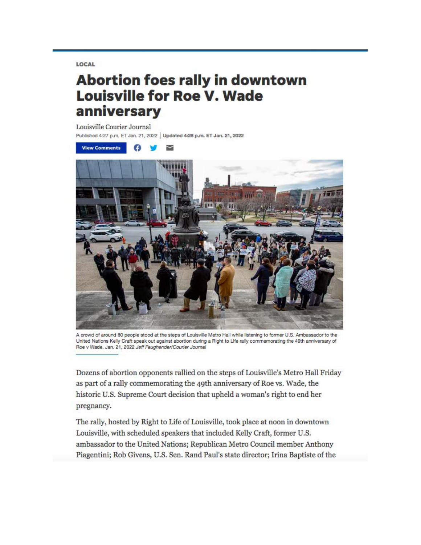LOCAL

## **Abortion foes rally in downtown Louisville for Roe V. Wade** anniversary

Louisville Courier Journal

Published 4:27 p.m. ET Jan. 21, 2022 | Updated 4:28 p.m. ET Jan. 21, 2022



A crowd of around 80 people stood at the steps of Louisville Metro Hall while listening to former U.S. Ambassador to the United Nations Kelly Craft speak out against abortion during a Right to Life rally commemorating the 49th anniversary of Roe v Wade, Jan. 21, 2022 Jeff Faughender/Courier Journal

Dozens of abortion opponents rallied on the steps of Louisville's Metro Hall Friday as part of a rally commemorating the 49th anniversary of Roe vs. Wade, the historic U.S. Supreme Court decision that upheld a woman's right to end her pregnancy.

The rally, hosted by Right to Life of Louisville, took place at noon in downtown Louisville, with scheduled speakers that included Kelly Craft, former U.S. ambassador to the United Nations; Republican Metro Council member Anthony Piagentini; Rob Givens, U.S. Sen. Rand Paul's state director; Irina Baptiste of the